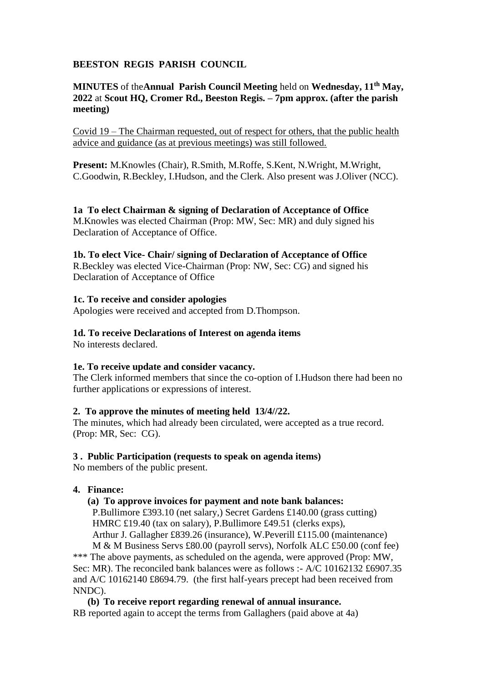# **BEESTON REGIS PARISH COUNCIL**

# **MINUTES** of the**Annual Parish Council Meeting** held on **Wednesday, 11th May, 2022** at **Scout HQ, Cromer Rd., Beeston Regis. – 7pm approx. (after the parish meeting)**

Covid 19 – The Chairman requested, out of respect for others, that the public health advice and guidance (as at previous meetings) was still followed.

**Present:** M.Knowles (Chair), R.Smith, M.Roffe, S.Kent, N.Wright, M.Wright, C.Goodwin, R.Beckley, I.Hudson, and the Clerk. Also present was J.Oliver (NCC).

#### **1a To elect Chairman & signing of Declaration of Acceptance of Office** M.Knowles was elected Chairman (Prop: MW, Sec: MR) and duly signed his Declaration of Acceptance of Office.

# **1b. To elect Vice- Chair/ signing of Declaration of Acceptance of Office**

R.Beckley was elected Vice-Chairman (Prop: NW, Sec: CG) and signed his Declaration of Acceptance of Office

### **1c. To receive and consider apologies**

Apologies were received and accepted from D.Thompson.

# **1d. To receive Declarations of Interest on agenda items**

No interests declared.

# **1e. To receive update and consider vacancy.**

The Clerk informed members that since the co-option of I.Hudson there had been no further applications or expressions of interest.

# **2. To approve the minutes of meeting held 13/4//22.**

The minutes, which had already been circulated, were accepted as a true record. (Prop: MR, Sec: CG).

#### **3 . Public Participation (requests to speak on agenda items)**

No members of the public present.

# **4. Finance:**

# **(a) To approve invoices for payment and note bank balances:**

 P.Bullimore £393.10 (net salary,) Secret Gardens £140.00 (grass cutting) HMRC £19.40 (tax on salary), P.Bullimore £49.51 (clerks exps), Arthur J. Gallagher £839.26 (insurance), W.Peverill £115.00 (maintenance)

 M & M Business Servs £80.00 (payroll servs), Norfolk ALC £50.00 (conf fee) \*\*\* The above payments, as scheduled on the agenda, were approved (Prop: MW, Sec: MR). The reconciled bank balances were as follows :- A/C 10162132 £6907.35 and A/C 10162140 £8694.79. (the first half-years precept had been received from NNDC).

**(b) To receive report regarding renewal of annual insurance.** RB reported again to accept the terms from Gallaghers (paid above at 4a)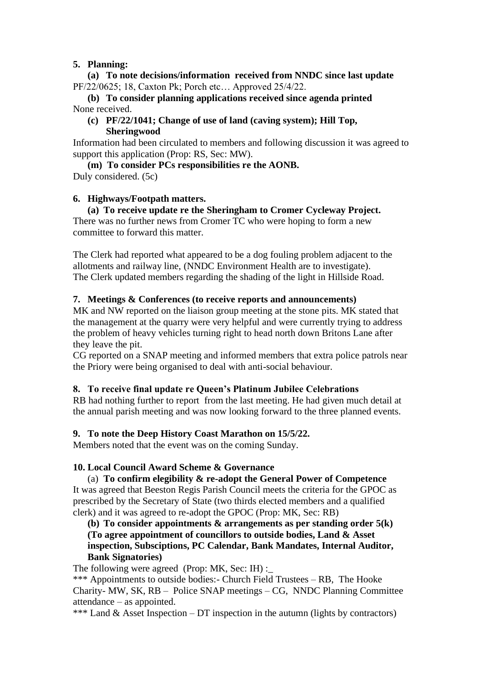### **5. Planning:**

**(a) To note decisions/information received from NNDC since last update** PF/22/0625; 18, Caxton Pk; Porch etc… Approved 25/4/22.

# **(b) To consider planning applications received since agenda printed**  None received.

#### **(c) PF/22/1041; Change of use of land (caving system); Hill Top, Sheringwood**

Information had been circulated to members and following discussion it was agreed to support this application (Prop: RS, Sec: MW).

**(m) To consider PCs responsibilities re the AONB.**

Duly considered. (5c)

# **6. Highways/Footpath matters.**

# **(a) To receive update re the Sheringham to Cromer Cycleway Project.**

There was no further news from Cromer TC who were hoping to form a new committee to forward this matter.

The Clerk had reported what appeared to be a dog fouling problem adjacent to the allotments and railway line, (NNDC Environment Health are to investigate). The Clerk updated members regarding the shading of the light in Hillside Road.

### **7. Meetings & Conferences (to receive reports and announcements)**

MK and NW reported on the liaison group meeting at the stone pits. MK stated that the management at the quarry were very helpful and were currently trying to address the problem of heavy vehicles turning right to head north down Britons Lane after they leave the pit.

CG reported on a SNAP meeting and informed members that extra police patrols near the Priory were being organised to deal with anti-social behaviour.

# **8. To receive final update re Queen's Platinum Jubilee Celebrations**

RB had nothing further to reportfrom the last meeting. He had given much detail at the annual parish meeting and was now looking forward to the three planned events.

# **9. To note the Deep History Coast Marathon on 15/5/22.**

Members noted that the event was on the coming Sunday.

#### **10. Local Council Award Scheme & Governance**

(a) **To confirm elegibility & re-adopt the General Power of Competence** It was agreed that Beeston Regis Parish Council meets the criteria for the GPOC as prescribed by the Secretary of State (two thirds elected members and a qualified clerk) and it was agreed to re-adopt the GPOC (Prop: MK, Sec: RB)

**(b) To consider appointments & arrangements as per standing order 5(k) (To agree appointment of councillors to outside bodies, Land & Asset inspection, Subsciptions, PC Calendar, Bank Mandates, Internal Auditor, Bank Signatories)**

The following were agreed (Prop: MK, Sec: IH) :\_

\*\*\* Appointments to outside bodies:- Church Field Trustees – RB, The Hooke Charity- MW, SK, RB – Police SNAP meetings – CG, NNDC Planning Committee attendance – as appointed.

\*\*\* Land & Asset Inspection – DT inspection in the autumn (lights by contractors)